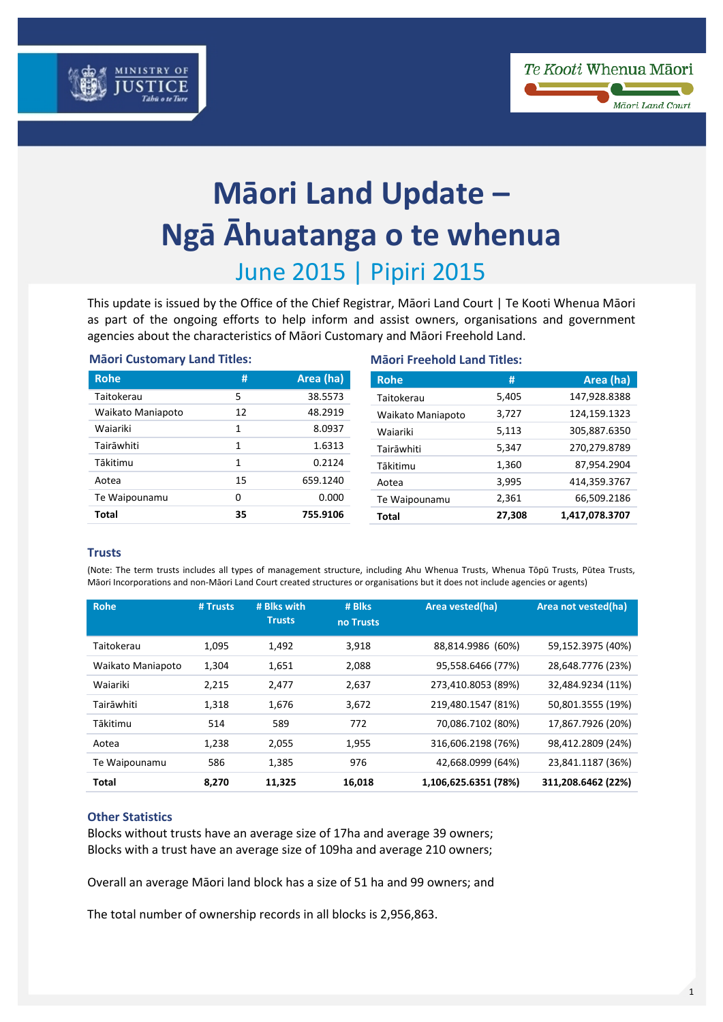



# **Māori Land Update – Ngā Āhuatanga o te whenua** June 2015 | Pipiri 2015

This update is issued by the Office of the Chief Registrar, Māori Land Court | Te Kooti Whenua Māori as part of the ongoing efforts to help inform and assist owners, organisations and government agencies about the characteristics of Māori Customary and Māori Freehold Land.

| <b>Mäori Customary Land Titles:</b> |    |           | <b>Mäori Freehold Land Titles:</b> |        |                |  |
|-------------------------------------|----|-----------|------------------------------------|--------|----------------|--|
| <b>Rohe</b>                         | #  | Area (ha) | <b>Rohe</b>                        |        | Area (ha)      |  |
| Taitokerau                          | 5  | 38.5573   | Taitokerau                         | 5,405  | 147,928.8388   |  |
| Waikato Maniapoto                   | 12 | 48.2919   | Waikato Maniapoto                  | 3,727  | 124,159.1323   |  |
| Waiariki                            | 1  | 8.0937    | Waiariki                           | 5,113  | 305,887.6350   |  |
| Tairāwhiti                          | 1  | 1.6313    | Tairāwhiti                         | 5,347  | 270,279.8789   |  |
| Tākitimu                            | 1  | 0.2124    | Tākitimu                           | 1,360  | 87,954.2904    |  |
| Aotea                               | 15 | 659.1240  | Aotea                              | 3,995  | 414,359.3767   |  |
| Te Waipounamu                       | 0  | 0.000     | Te Waipounamu                      | 2,361  | 66,509.2186    |  |
| <b>Total</b>                        | 35 | 755.9106  | Total                              | 27.308 | 1,417,078.3707 |  |

### **Trusts**

(Note: The term trusts includes all types of management structure, including Ahu Whenua Trusts, Whenua Tōpū Trusts, Pūtea Trusts, Māori Incorporations and non-Māori Land Court created structures or organisations but it does not include agencies or agents)

| <b>Rohe</b>       | # Trusts | # Blks with<br><b>Trusts</b> | # Blks<br>no Trusts | Area vested(ha)      | Area not vested(ha) |
|-------------------|----------|------------------------------|---------------------|----------------------|---------------------|
| Taitokerau        | 1,095    | 1,492                        | 3,918               | 88,814.9986 (60%)    | 59,152.3975 (40%)   |
| Waikato Maniapoto | 1,304    | 1,651                        | 2,088               | 95,558.6466 (77%)    | 28,648.7776 (23%)   |
| Waiariki          | 2,215    | 2,477                        | 2,637               | 273,410.8053 (89%)   | 32,484.9234 (11%)   |
| Tairāwhiti        | 1,318    | 1,676                        | 3,672               | 219,480.1547 (81%)   | 50,801.3555 (19%)   |
| Tākitimu          | 514      | 589                          | 772                 | 70,086.7102 (80%)    | 17,867.7926 (20%)   |
| Aotea             | 1,238    | 2,055                        | 1,955               | 316,606.2198 (76%)   | 98,412.2809 (24%)   |
| Te Waipounamu     | 586      | 1,385                        | 976                 | 42,668.0999 (64%)    | 23,841.1187 (36%)   |
| <b>Total</b>      | 8,270    | 11,325                       | 16,018              | 1,106,625.6351 (78%) | 311,208.6462 (22%)  |

## **Other Statistics**

Blocks without trusts have an average size of 17ha and average 39 owners; Blocks with a trust have an average size of 109ha and average 210 owners;

Overall an average Māori land block has a size of 51 ha and 99 owners; and

The total number of ownership records in all blocks is 2,956,863.